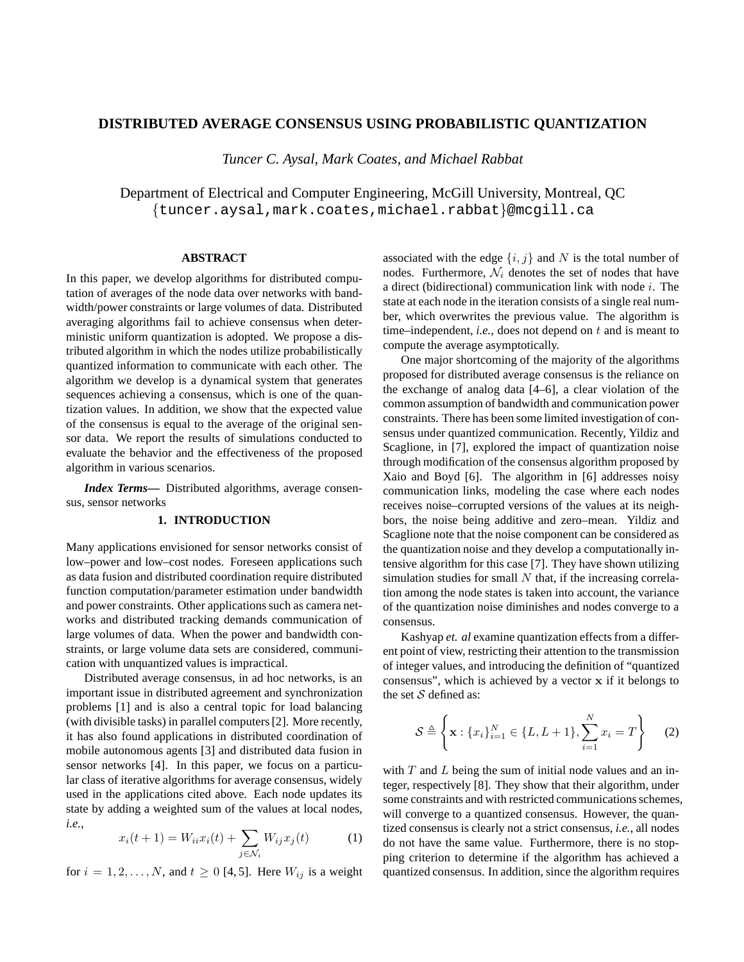# **DISTRIBUTED AVERAGE CONSENSUS USING PROBABILISTIC QUANTIZATION**

*Tuncer C. Aysal, Mark Coates, and Michael Rabbat*

Department of Electrical and Computer Engineering, McGill University, Montreal, QC {tuncer.aysal,mark.coates,michael.rabbat}@mcgill.ca

## **ABSTRACT**

In this paper, we develop algorithms for distributed computation of averages of the node data over networks with bandwidth/power constraints or large volumes of data. Distributed averaging algorithms fail to achieve consensus when deterministic uniform quantization is adopted. We propose a distributed algorithm in which the nodes utilize probabilistically quantized information to communicate with each other. The algorithm we develop is a dynamical system that generates sequences achieving a consensus, which is one of the quantization values. In addition, we show that the expected value of the consensus is equal to the average of the original sensor data. We report the results of simulations conducted to evaluate the behavior and the effectiveness of the proposed algorithm in various scenarios.

*Index Terms***—** Distributed algorithms, average consensus, sensor networks

# **1. INTRODUCTION**

Many applications envisioned for sensor networks consist of low–power and low–cost nodes. Foreseen applications such as data fusion and distributed coordination require distributed function computation/parameter estimation under bandwidth and power constraints. Other applications such as camera networks and distributed tracking demands communication of large volumes of data. When the power and bandwidth constraints, or large volume data sets are considered, communication with unquantized values is impractical.

Distributed average consensus, in ad hoc networks, is an important issue in distributed agreement and synchronization problems [1] and is also a central topic for load balancing (with divisible tasks) in parallel computers [2]. More recently, it has also found applications in distributed coordination of mobile autonomous agents [3] and distributed data fusion in sensor networks [4]. In this paper, we focus on a particular class of iterative algorithms for average consensus, widely used in the applications cited above. Each node updates its state by adding a weighted sum of the values at local nodes, *i.e.*,

$$
x_i(t+1) = W_{ii}x_i(t) + \sum_{j \in \mathcal{N}_i} W_{ij}x_j(t)
$$
 (1)

for  $i = 1, 2, ..., N$ , and  $t \ge 0$  [4, 5]. Here  $W_{ij}$  is a weight

associated with the edge  $\{i, j\}$  and N is the total number of nodes. Furthermore,  $\mathcal{N}_i$  denotes the set of nodes that have a direct (bidirectional) communication link with node  $i$ . The state at each node in the iteration consists of a single real number, which overwrites the previous value. The algorithm is time–independent, *i.e.*, does not depend on t and is meant to compute the average asymptotically.

One major shortcoming of the majority of the algorithms proposed for distributed average consensus is the reliance on the exchange of analog data [4–6], a clear violation of the common assumption of bandwidth and communication power constraints. There has been some limited investigation of consensus under quantized communication. Recently, Yildiz and Scaglione, in [7], explored the impact of quantization noise through modification of the consensus algorithm proposed by Xaio and Boyd [6]. The algorithm in [6] addresses noisy communication links, modeling the case where each nodes receives noise–corrupted versions of the values at its neighbors, the noise being additive and zero–mean. Yildiz and Scaglione note that the noise component can be considered as the quantization noise and they develop a computationally intensive algorithm for this case [7]. They have shown utilizing simulation studies for small  $N$  that, if the increasing correlation among the node states is taken into account, the variance of the quantization noise diminishes and nodes converge to a consensus.

Kashyap *et. al* examine quantization effects from a different point of view, restricting their attention to the transmission of integer values, and introducing the definition of "quantized consensus", which is achieved by a vector  $x$  if it belongs to the set  $S$  defined as:

$$
S \triangleq \left\{ \mathbf{x} : \{x_i\}_{i=1}^N \in \{L, L+1\}, \sum_{i=1}^N x_i = T \right\}
$$
 (2)

with  $T$  and  $L$  being the sum of initial node values and an integer, respectively [8]. They show that their algorithm, under some constraints and with restricted communications schemes, will converge to a quantized consensus. However, the quantized consensus is clearly not a strict consensus, *i.e.*, all nodes do not have the same value. Furthermore, there is no stopping criterion to determine if the algorithm has achieved a quantized consensus. In addition, since the algorithm requires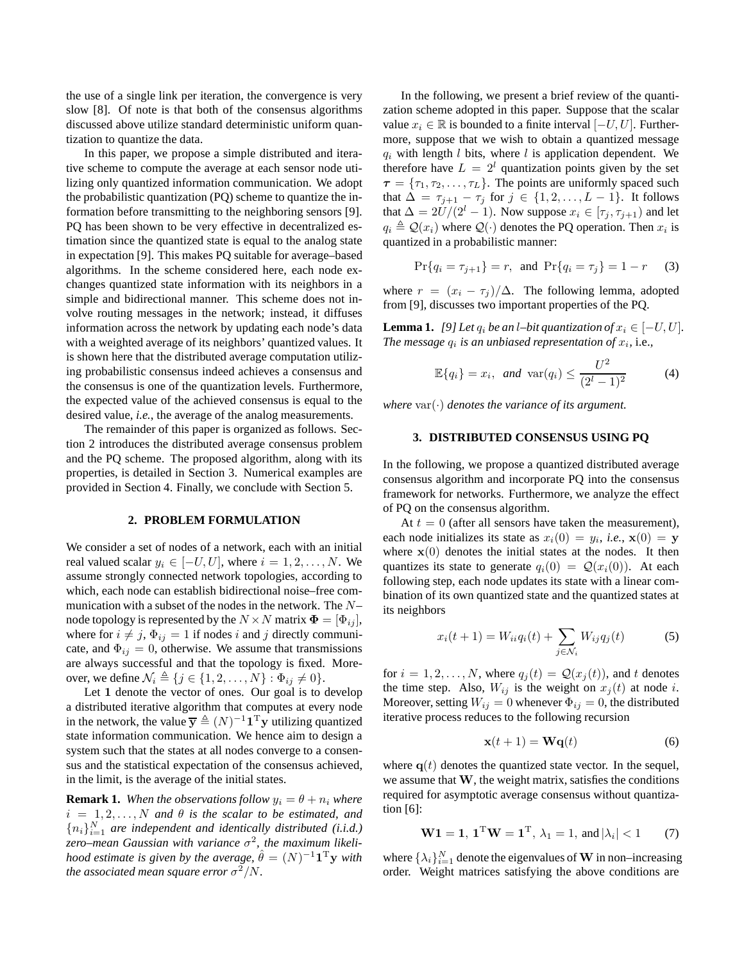the use of a single link per iteration, the convergence is very slow [8]. Of note is that both of the consensus algorithms discussed above utilize standard deterministic uniform quantization to quantize the data.

In this paper, we propose a simple distributed and iterative scheme to compute the average at each sensor node utilizing only quantized information communication. We adopt the probabilistic quantization (PQ) scheme to quantize the information before transmitting to the neighboring sensors [9]. PQ has been shown to be very effective in decentralized estimation since the quantized state is equal to the analog state in expectation [9]. This makes PQ suitable for average–based algorithms. In the scheme considered here, each node exchanges quantized state information with its neighbors in a simple and bidirectional manner. This scheme does not involve routing messages in the network; instead, it diffuses information across the network by updating each node's data with a weighted average of its neighbors' quantized values. It is shown here that the distributed average computation utilizing probabilistic consensus indeed achieves a consensus and the consensus is one of the quantization levels. Furthermore, the expected value of the achieved consensus is equal to the desired value, *i.e.*, the average of the analog measurements.

The remainder of this paper is organized as follows. Section 2 introduces the distributed average consensus problem and the PQ scheme. The proposed algorithm, along with its properties, is detailed in Section 3. Numerical examples are provided in Section 4. Finally, we conclude with Section 5.

## **2. PROBLEM FORMULATION**

We consider a set of nodes of a network, each with an initial real valued scalar  $y_i \in [-U, U]$ , where  $i = 1, 2, ..., N$ . We assume strongly connected network topologies, according to which, each node can establish bidirectional noise–free communication with a subset of the nodes in the network. The N– node topology is represented by the  $N \times N$  matrix  $\mathbf{\Phi} = [\Phi_{ij}],$ where for  $i \neq j$ ,  $\Phi_{ij} = 1$  if nodes i and j directly communicate, and  $\Phi_{ij} = 0$ , otherwise. We assume that transmissions are always successful and that the topology is fixed. Moreover, we define  $\mathcal{N}_i \triangleq \{j \in \{1, 2, \ldots, N\} : \Phi_{ij} \neq 0\}.$ 

Let 1 denote the vector of ones. Our goal is to develop a distributed iterative algorithm that computes at every node in the network, the value  $\overline{y} \triangleq (N)^{-1} \mathbf{1}^T y$  utilizing quantized state information communication. We hence aim to design a system such that the states at all nodes converge to a consensus and the statistical expectation of the consensus achieved, in the limit, is the average of the initial states.

**Remark 1.** *When the observations follow*  $y_i = \theta + n_i$  *where*  $i = 1, 2, \ldots, N$  *and*  $\theta$  *is the scalar to be estimated, and*  ${n_i}_{i=1}^N$  are independent and identically distributed (i.i.d.)  $\overline{z}$ ero–mean Gaussian with variance  $\sigma^2$ , the maximum likeli*hood estimate is given by the average,*  $\hat{\theta} = (N)^{-1} \mathbf{1}^{\mathrm{T}} \mathbf{y}$  *with the associated mean square error*  $\sigma^2/N$ .

In the following, we present a brief review of the quantization scheme adopted in this paper. Suppose that the scalar value  $x_i$  ∈ R is bounded to a finite interval  $[-U, U]$ . Furthermore, suppose that we wish to obtain a quantized message  $q_i$  with length l bits, where l is application dependent. We therefore have  $L = 2<sup>l</sup>$  quantization points given by the set  $\tau = {\tau_1, \tau_2, \ldots, \tau_L}$ . The points are uniformly spaced such that  $\Delta = \tau_{j+1} - \tau_j$  for  $j \in \{1, 2, ..., L-1\}$ . It follows that  $\Delta = 2U/(2^l - 1)$ . Now suppose  $x_i \in [\tau_j, \tau_{j+1})$  and let  $q_i \triangleq \mathcal{Q}(x_i)$  where  $\mathcal{Q}(\cdot)$  denotes the PQ operation. Then  $x_i$  is quantized in a probabilistic manner:

$$
\Pr\{q_i = \tau_{j+1}\} = r, \text{ and } \Pr\{q_i = \tau_j\} = 1 - r \quad (3)
$$

where  $r = (x_i - \tau_i)/\Delta$ . The following lemma, adopted from [9], discusses two important properties of the PQ.

**Lemma 1.** *[9] Let*  $q_i$  *be an l–bit quantization of*  $x_i \in [-U, U]$ *. The message*  $q_i$  *is an unbiased representation of*  $x_i$ , *i.e.*,

$$
\mathbb{E}\{q_i\} = x_i, \ \text{and} \ \text{var}(q_i) \le \frac{U^2}{(2^l - 1)^2} \tag{4}
$$

*where*  $var(\cdot)$  *denotes the variance of its argument.* 

# **3. DISTRIBUTED CONSENSUS USING PQ**

In the following, we propose a quantized distributed average consensus algorithm and incorporate PQ into the consensus framework for networks. Furthermore, we analyze the effect of PQ on the consensus algorithm.

At  $t = 0$  (after all sensors have taken the measurement), each node initializes its state as  $x_i(0) = y_i$ , *i.e.*,  $\mathbf{x}(0) = \mathbf{y}$ where  $x(0)$  denotes the initial states at the nodes. It then quantizes its state to generate  $q_i(0) = \mathcal{Q}(x_i(0))$ . At each following step, each node updates its state with a linear combination of its own quantized state and the quantized states at its neighbors

$$
x_i(t+1) = W_{ii}q_i(t) + \sum_{j \in \mathcal{N}_i} W_{ij}q_j(t)
$$
 (5)

for  $i = 1, 2, ..., N$ , where  $q_j(t) = \mathcal{Q}(x_j(t))$ , and t denotes the time step. Also,  $W_{ij}$  is the weight on  $x_j(t)$  at node i. Moreover, setting  $W_{ij} = 0$  whenever  $\Phi_{ij} = 0$ , the distributed iterative process reduces to the following recursion

$$
\mathbf{x}(t+1) = \mathbf{W}\mathbf{q}(t) \tag{6}
$$

where  $q(t)$  denotes the quantized state vector. In the sequel, we assume that W, the weight matrix, satisfies the conditions required for asymptotic average consensus without quantization [6]:

$$
\mathbf{W1} = \mathbf{1}, \ \mathbf{1}^{\mathrm{T}}\mathbf{W} = \mathbf{1}^{\mathrm{T}}, \ \lambda_1 = 1, \ \text{and} \ |\lambda_i| < 1 \tag{7}
$$

where  $\{\lambda_i\}_{i=1}^N$  denote the eigenvalues of **W** in non–increasing order. Weight matrices satisfying the above conditions are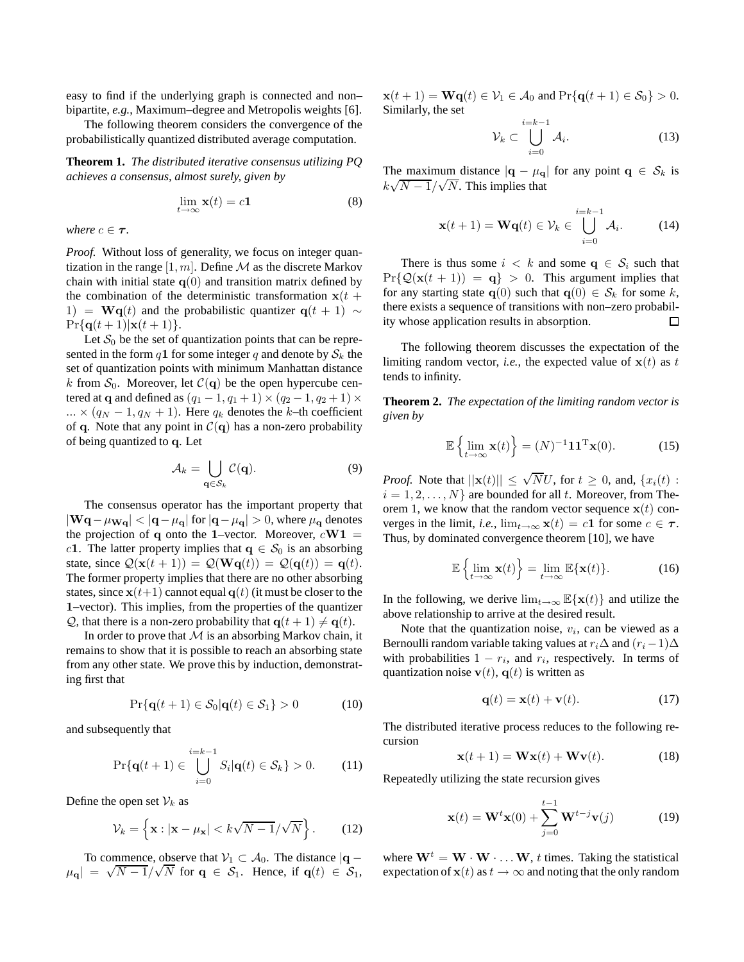easy to find if the underlying graph is connected and non– bipartite, *e.g.*, Maximum–degree and Metropolis weights [6].

The following theorem considers the convergence of the probabilistically quantized distributed average computation.

**Theorem 1.** *The distributed iterative consensus utilizing PQ achieves a consensus, almost surely, given by*

$$
\lim_{t \to \infty} \mathbf{x}(t) = c\mathbf{1}
$$
 (8)

*where*  $c \in \tau$ *.* 

*Proof.* Without loss of generality, we focus on integer quantization in the range  $[1, m]$ . Define M as the discrete Markov chain with initial state  $q(0)$  and transition matrix defined by the combination of the deterministic transformation  $x(t +$ 1) = Wq(t) and the probabilistic quantizer q(t + 1)  $\sim$  $Pr{q(t + 1)|\mathbf{x}(t + 1)}$ .

Let  $S_0$  be the set of quantization points that can be represented in the form q1 for some integer q and denote by  $S_k$  the set of quantization points with minimum Manhattan distance k from  $S_0$ . Moreover, let  $\mathcal{C}(\mathbf{q})$  be the open hypercube centered at q and defined as  $(q_1 - 1, q_1 + 1) \times (q_2 - 1, q_2 + 1) \times$  $\ldots \times (q_N - 1, q_N + 1)$ . Here  $q_k$  denotes the k–th coefficient of q. Note that any point in  $C(\mathbf{q})$  has a non-zero probability of being quantized to q. Let

$$
\mathcal{A}_k = \bigcup_{\mathbf{q} \in \mathcal{S}_k} \mathcal{C}(\mathbf{q}).\tag{9}
$$

The consensus operator has the important property that  $|\mathbf{Wq}-\mu_{\mathbf{Wq}}|<|\mathbf{q}-\mu_{\mathbf{q}}|$  for  $|\mathbf{q}-\mu_{\mathbf{q}}|>0$ , where  $\mu_{\mathbf{q}}$  denotes the projection of q onto the 1–vector. Moreover,  $cW1 =$ c1. The latter property implies that  $q \in S_0$  is an absorbing state, since  $\mathcal{Q}(\mathbf{x}(t+1)) = \mathcal{Q}(\mathbf{W}\mathbf{q}(t)) = \mathcal{Q}(\mathbf{q}(t)) = \mathbf{q}(t)$ . The former property implies that there are no other absorbing states, since  $x(t+1)$  cannot equal  $q(t)$  (it must be closer to the 1–vector). This implies, from the properties of the quantizer Q, that there is a non-zero probability that  $q(t + 1) \neq q(t)$ .

In order to prove that  $M$  is an absorbing Markov chain, it remains to show that it is possible to reach an absorbing state from any other state. We prove this by induction, demonstrating first that

$$
\Pr\{\mathbf{q}(t+1) \in \mathcal{S}_0 | \mathbf{q}(t) \in \mathcal{S}_1\} > 0 \tag{10}
$$

and subsequently that

$$
\Pr\{\mathbf{q}(t+1) \in \bigcup_{i=0}^{i=k-1} S_i | \mathbf{q}(t) \in \mathcal{S}_k\} > 0.
$$
 (11)

Define the open set  $\mathcal{V}_k$  as

$$
\mathcal{V}_k = \left\{ \mathbf{x} : |\mathbf{x} - \mu_\mathbf{x}| < k\sqrt{N-1}/\sqrt{N} \right\}. \tag{12}
$$

To commence, observe that  $V_1 \subset A_0$ . The distance  $|q - \rangle$  $|\mu_{\mathbf{q}}| = \sqrt{N-1}/\sqrt{N}$  for  $\mathbf{q} \in S_1$ . Hence, if  $\mathbf{q}(t) \in S_1$ ,  $\mathbf{x}(t+1) = \mathbf{Wq}(t) \in \mathcal{V}_1 \in \mathcal{A}_0$  and  $\Pr{\mathbf{q}(t+1) \in \mathcal{S}_0} > 0$ . Similarly, the set

$$
\mathcal{V}_k \subset \bigcup_{i=0}^{i=k-1} \mathcal{A}_i. \tag{13}
$$

The maximum distance  $|\mathbf{q} - \mu_{\mathbf{q}}|$  for any point  $\mathbf{q} \in S_k$  is  $k\sqrt{N-1}/\sqrt{N}$ . This implies that

$$
\mathbf{x}(t+1) = \mathbf{W}\mathbf{q}(t) \in \mathcal{V}_k \in \bigcup_{i=0}^{i=k-1} \mathcal{A}_i.
$$
 (14)

There is thus some  $i < k$  and some  $q \in S_i$  such that  $Pr{\Q(\mathbf{x}(t+1)) = \mathbf{q}} > 0$ . This argument implies that for any starting state  $q(0)$  such that  $q(0) \in S_k$  for some k, there exists a sequence of transitions with non–zero probability whose application results in absorption.  $\Box$ 

The following theorem discusses the expectation of the limiting random vector, *i.e.*, the expected value of  $x(t)$  as t tends to infinity.

**Theorem 2.** *The expectation of the limiting random vector is given by*

$$
\mathbb{E}\left\{\lim_{t\to\infty}\mathbf{x}(t)\right\} = (N)^{-1}\mathbf{1}\mathbf{1}^{\mathrm{T}}\mathbf{x}(0). \tag{15}
$$

*Proof.* Note that  $||\mathbf{x}(t)|| \leq \sqrt{N}U$ , for  $t \geq 0$ , and,  $\{x_i(t) :$  $i = 1, 2, \ldots, N$  are bounded for all t. Moreover, from Theorem 1, we know that the random vector sequence  $x(t)$  converges in the limit, *i.e.*,  $\lim_{t\to\infty} \mathbf{x}(t) = c\mathbf{1}$  for some  $c \in \tau$ . Thus, by dominated convergence theorem [10], we have

$$
\mathbb{E}\left\{\lim_{t\to\infty}\mathbf{x}(t)\right\} = \lim_{t\to\infty}\mathbb{E}\{\mathbf{x}(t)\}.
$$
 (16)

In the following, we derive  $\lim_{t\to\infty} \mathbb{E}\{\mathbf{x}(t)\}\$  and utilize the above relationship to arrive at the desired result.

Note that the quantization noise,  $v_i$ , can be viewed as a Bernoulli random variable taking values at  $r_i\Delta$  and  $(r_i-1)\Delta$ with probabilities  $1 - r_i$ , and  $r_i$ , respectively. In terms of quantization noise  $\mathbf{v}(t)$ ,  $\mathbf{q}(t)$  is written as

$$
\mathbf{q}(t) = \mathbf{x}(t) + \mathbf{v}(t). \tag{17}
$$

The distributed iterative process reduces to the following recursion

$$
\mathbf{x}(t+1) = \mathbf{W}\mathbf{x}(t) + \mathbf{W}\mathbf{v}(t).
$$
 (18)

Repeatedly utilizing the state recursion gives

$$
\mathbf{x}(t) = \mathbf{W}^t \mathbf{x}(0) + \sum_{j=0}^{t-1} \mathbf{W}^{t-j} \mathbf{v}(j)
$$
(19)

where  $\mathbf{W}^t = \mathbf{W} \cdot \mathbf{W} \cdot \dots \mathbf{W}$ , t times. Taking the statistical expectation of  $x(t)$  as  $t \to \infty$  and noting that the only random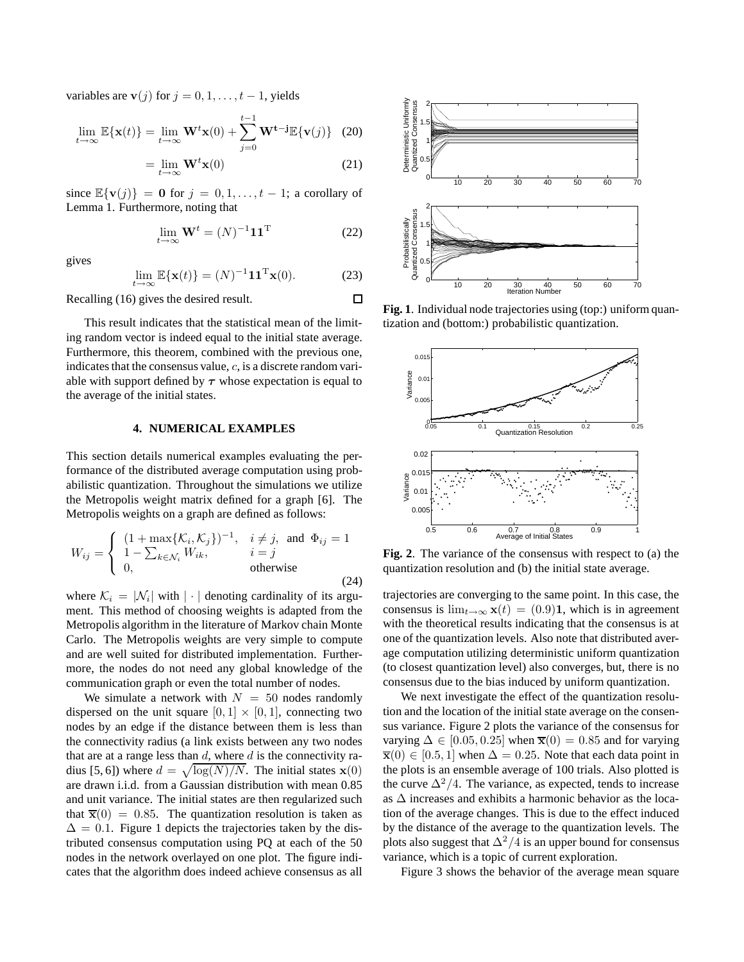variables are v(j) for  $j = 0, 1, \ldots, t - 1$ , yields

$$
\lim_{t \to \infty} \mathbb{E}\{\mathbf{x}(t)\} = \lim_{t \to \infty} \mathbf{W}^t \mathbf{x}(0) + \sum_{j=0}^{t-1} \mathbf{W}^{t-j} \mathbb{E}\{\mathbf{v}(j)\} \quad (20)
$$

$$
= \lim_{t \to \infty} \mathbf{W}^t \mathbf{x}(0)
$$
 (21)

since  $\mathbb{E}\{\mathbf{v}(j)\} = \mathbf{0}$  for  $j = 0, 1, \dots, t - 1$ ; a corollary of Lemma 1. Furthermore, noting that

$$
\lim_{t \to \infty} \mathbf{W}^t = (N)^{-1} \mathbf{1} \mathbf{1}^{\mathrm{T}}
$$
 (22)

 $\Box$ 

gives

$$
\lim_{t \to \infty} \mathbb{E}\{\mathbf{x}(t)\} = (N)^{-1} \mathbf{1} \mathbf{1}^{\mathrm{T}} \mathbf{x}(0). \tag{23}
$$

Recalling (16) gives the desired result.

This result indicates that the statistical mean of the limiting random vector is indeed equal to the initial state average. Furthermore, this theorem, combined with the previous one, indicates that the consensus value,  $c$ , is a discrete random variable with support defined by  $\tau$  whose expectation is equal to the average of the initial states.

# **4. NUMERICAL EXAMPLES**

This section details numerical examples evaluating the performance of the distributed average computation using probabilistic quantization. Throughout the simulations we utilize the Metropolis weight matrix defined for a graph [6]. The Metropolis weights on a graph are defined as follows:

$$
W_{ij} = \begin{cases} (1 + \max\{K_i, K_j\})^{-1}, & i \neq j, \text{ and } \Phi_{ij} = 1\\ 1 - \sum_{k \in \mathcal{N}_i} W_{ik}, & i = j\\ 0, & \text{otherwise} \end{cases}
$$
(24)

where  $\mathcal{K}_i = |\mathcal{N}_i|$  with  $|\cdot|$  denoting cardinality of its argument. This method of choosing weights is adapted from the Metropolis algorithm in the literature of Markov chain Monte Carlo. The Metropolis weights are very simple to compute and are well suited for distributed implementation. Furthermore, the nodes do not need any global knowledge of the communication graph or even the total number of nodes.

We simulate a network with  $N = 50$  nodes randomly dispersed on the unit square  $[0, 1] \times [0, 1]$ , connecting two nodes by an edge if the distance between them is less than the connectivity radius (a link exists between any two nodes that are at a range less than  $d$ , where  $d$  is the connectivity radius [5, 6]) where  $d = \sqrt{\log(N)/N}$ . The initial states  $\mathbf{x}(0)$ are drawn i.i.d. from a Gaussian distribution with mean 0.85 and unit variance. The initial states are then regularized such that  $\overline{\mathbf{x}}(0) = 0.85$ . The quantization resolution is taken as  $\Delta = 0.1$ . Figure 1 depicts the trajectories taken by the distributed consensus computation using PQ at each of the 50 nodes in the network overlayed on one plot. The figure indicates that the algorithm does indeed achieve consensus as all



tization and (bottom:) probabilistic quantization.



**Fig. 2**. The variance of the consensus with respect to (a) the quantization resolution and (b) the initial state average.

trajectories are converging to the same point. In this case, the consensus is  $\lim_{t\to\infty}$  **x**(t) = (0.9)**1**, which is in agreement with the theoretical results indicating that the consensus is at one of the quantization levels. Also note that distributed average computation utilizing deterministic uniform quantization (to closest quantization level) also converges, but, there is no consensus due to the bias induced by uniform quantization.

We next investigate the effect of the quantization resolution and the location of the initial state average on the consensus variance. Figure 2 plots the variance of the consensus for varying  $\Delta \in [0.05, 0.25]$  when  $\bar{\mathbf{x}}(0) = 0.85$  and for varying  $\overline{\mathbf{x}}(0) \in [0.5, 1]$  when  $\Delta = 0.25$ . Note that each data point in the plots is an ensemble average of 100 trials. Also plotted is the curve  $\Delta^2/4$ . The variance, as expected, tends to increase as ∆ increases and exhibits a harmonic behavior as the location of the average changes. This is due to the effect induced by the distance of the average to the quantization levels. The plots also suggest that  $\Delta^2/4$  is an upper bound for consensus variance, which is a topic of current exploration.

Figure 3 shows the behavior of the average mean square